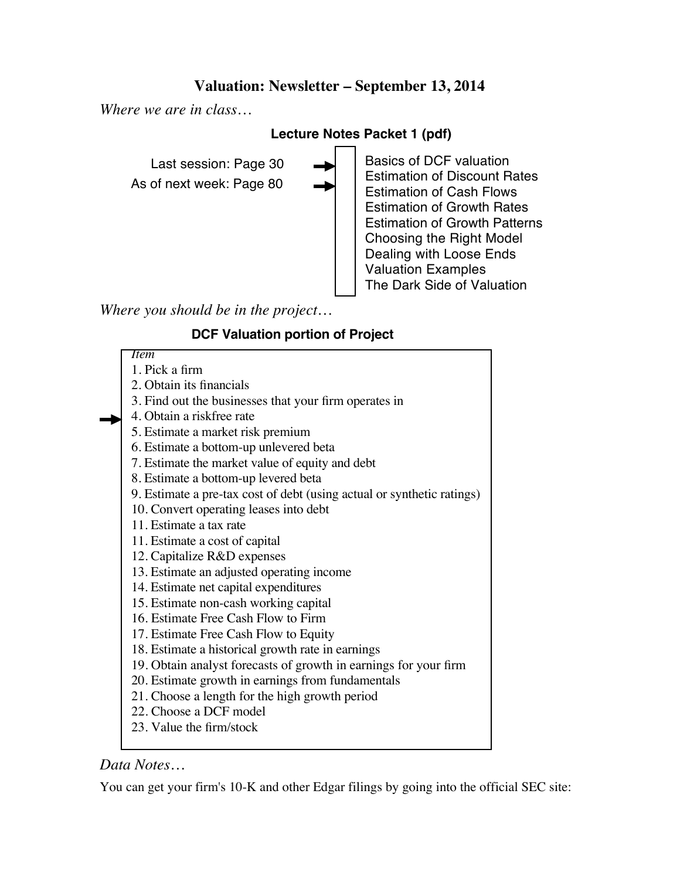# **Valuation: Newsletter – September 13, 2014**

*Where we are in class…*

## **Lecture Notes Packet 1 (pdf)**

As of next week: Page 80 Last session: Page 30 Basics of DCF valuation Estimation of Discount Rates Estimation of Cash Flows Estimation of Growth Rates Estimation of Growth Patterns Choosing the Right Model Dealing with Loose Ends Valuation Examples The Dark Side of Valuation

*Where you should be in the project…*

## **DCF Valuation portion of Project**

*Item* 1. Pick a firm 2. Obtain its financials 3. Find out the businesses that your firm operates in 4. Obtain a riskfree rate 5. Estimate a market risk premium 6. Estimate a bottom-up unlevered beta 7. Estimate the market value of equity and debt 8. Estimate a bottom-up levered beta 9. Estimate a pre-tax cost of debt (using actual or synthetic ratings) 10. Convert operating leases into debt 11. Estimate a tax rate 11. Estimate a cost of capital 12. Capitalize R&D expenses 13. Estimate an adjusted operating income 14. Estimate net capital expenditures 15. Estimate non-cash working capital 16. Estimate Free Cash Flow to Firm 17. Estimate Free Cash Flow to Equity 18. Estimate a historical growth rate in earnings 19. Obtain analyst forecasts of growth in earnings for your firm 20. Estimate growth in earnings from fundamentals 21. Choose a length for the high growth period 22. Choose a DCF model

# 23. Value the firm/stock

# *Data Notes…*

You can get your firm's 10-K and other Edgar filings by going into the official SEC site: